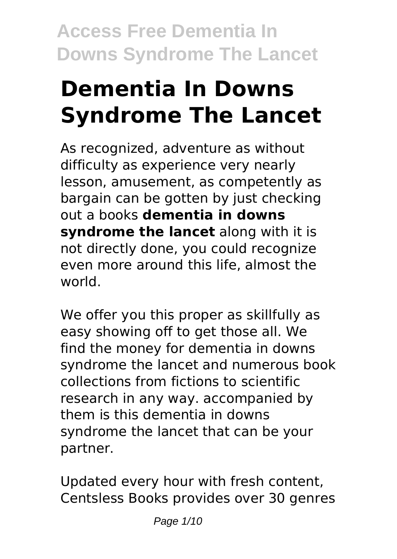# **Dementia In Downs Syndrome The Lancet**

As recognized, adventure as without difficulty as experience very nearly lesson, amusement, as competently as bargain can be gotten by just checking out a books **dementia in downs syndrome the lancet** along with it is not directly done, you could recognize even more around this life, almost the world.

We offer you this proper as skillfully as easy showing off to get those all. We find the money for dementia in downs syndrome the lancet and numerous book collections from fictions to scientific research in any way. accompanied by them is this dementia in downs syndrome the lancet that can be your partner.

Updated every hour with fresh content, Centsless Books provides over 30 genres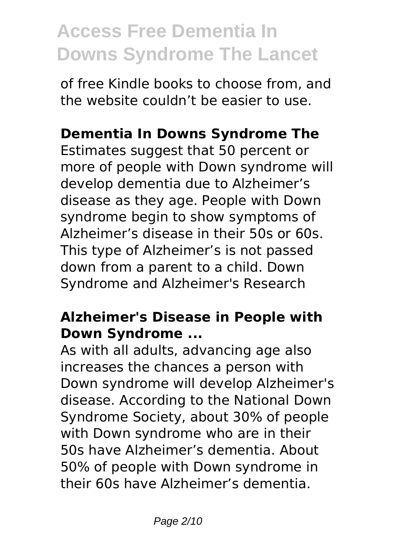of free Kindle books to choose from, and the website couldn't be easier to use.

### **Dementia In Downs Syndrome The**

Estimates suggest that 50 percent or more of people with Down syndrome will develop dementia due to Alzheimer's disease as they age. People with Down syndrome begin to show symptoms of Alzheimer's disease in their 50s or 60s. This type of Alzheimer's is not passed down from a parent to a child. Down Syndrome and Alzheimer's Research

### **Alzheimer's Disease in People with Down Syndrome ...**

As with all adults, advancing age also increases the chances a person with Down syndrome will develop Alzheimer's disease. According to the National Down Syndrome Society, about 30% of people with Down syndrome who are in their 50s have Alzheimer's dementia. About 50% of people with Down syndrome in their 60s have Alzheimer's dementia.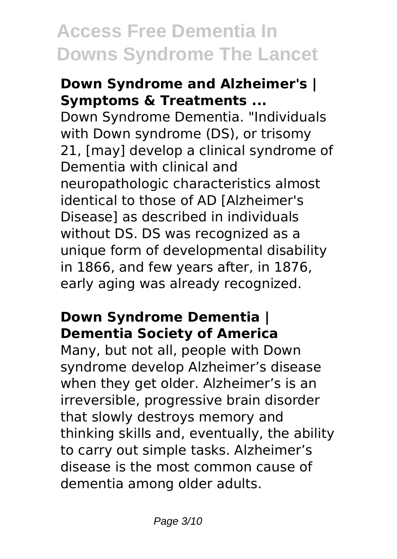#### **Down Syndrome and Alzheimer's | Symptoms & Treatments ...**

Down Syndrome Dementia. "Individuals with Down syndrome (DS), or trisomy 21, [may] develop a clinical syndrome of Dementia with clinical and neuropathologic characteristics almost identical to those of AD [Alzheimer's Disease] as described in individuals without DS. DS was recognized as a unique form of developmental disability in 1866, and few years after, in 1876, early aging was already recognized.

### **Down Syndrome Dementia | Dementia Society of America**

Many, but not all, people with Down syndrome develop Alzheimer's disease when they get older. Alzheimer's is an irreversible, progressive brain disorder that slowly destroys memory and thinking skills and, eventually, the ability to carry out simple tasks. Alzheimer's disease is the most common cause of dementia among older adults.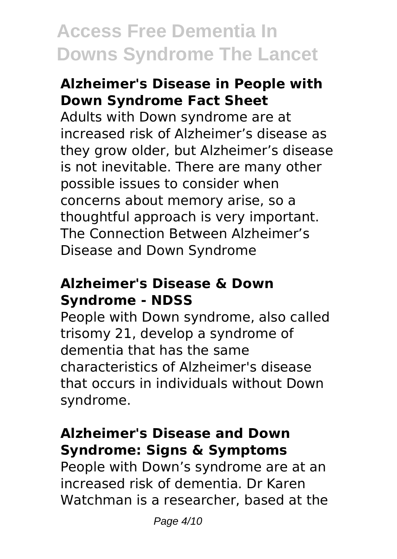#### **Alzheimer's Disease in People with Down Syndrome Fact Sheet**

Adults with Down syndrome are at increased risk of Alzheimer's disease as they grow older, but Alzheimer's disease is not inevitable. There are many other possible issues to consider when concerns about memory arise, so a thoughtful approach is very important. The Connection Between Alzheimer's Disease and Down Syndrome

#### **Alzheimer's Disease & Down Syndrome - NDSS**

People with Down syndrome, also called trisomy 21, develop a syndrome of dementia that has the same characteristics of Alzheimer's disease that occurs in individuals without Down syndrome.

### **Alzheimer's Disease and Down Syndrome: Signs & Symptoms**

People with Down's syndrome are at an increased risk of dementia. Dr Karen Watchman is a researcher, based at the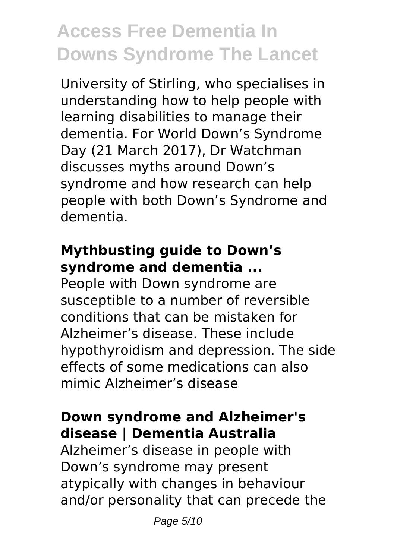University of Stirling, who specialises in understanding how to help people with learning disabilities to manage their dementia. For World Down's Syndrome Day (21 March 2017), Dr Watchman discusses myths around Down's syndrome and how research can help people with both Down's Syndrome and dementia.

### **Mythbusting guide to Down's syndrome and dementia ...**

People with Down syndrome are susceptible to a number of reversible conditions that can be mistaken for Alzheimer's disease. These include hypothyroidism and depression. The side effects of some medications can also mimic Alzheimer's disease

### **Down syndrome and Alzheimer's disease | Dementia Australia**

Alzheimer's disease in people with Down's syndrome may present atypically with changes in behaviour and/or personality that can precede the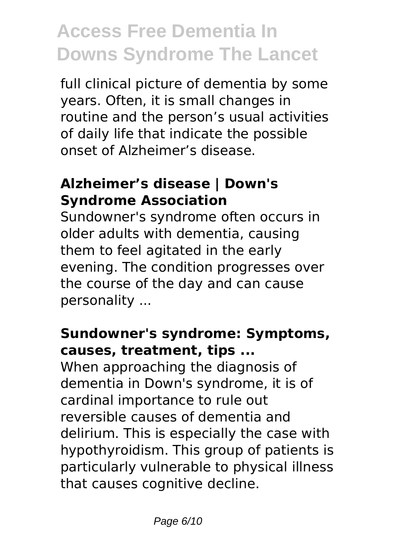full clinical picture of dementia by some years. Often, it is small changes in routine and the person's usual activities of daily life that indicate the possible onset of Alzheimer's disease.

### **Alzheimer's disease | Down's Syndrome Association**

Sundowner's syndrome often occurs in older adults with dementia, causing them to feel agitated in the early evening. The condition progresses over the course of the day and can cause personality ...

### **Sundowner's syndrome: Symptoms, causes, treatment, tips ...**

When approaching the diagnosis of dementia in Down's syndrome, it is of cardinal importance to rule out reversible causes of dementia and delirium. This is especially the case with hypothyroidism. This group of patients is particularly vulnerable to physical illness that causes cognitive decline.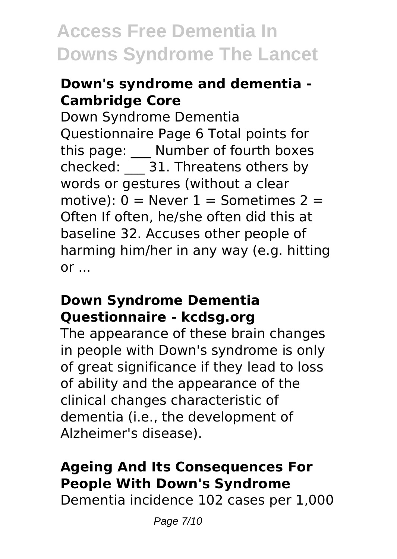### **Down's syndrome and dementia - Cambridge Core**

Down Syndrome Dementia Questionnaire Page 6 Total points for this page: \_\_\_ Number of fourth boxes checked: \_\_\_ 31. Threatens others by words or gestures (without a clear motive):  $0 =$  Never  $1 =$  Sometimes  $2 =$ Often If often, he/she often did this at baseline 32. Accuses other people of harming him/her in any way (e.g. hitting  $or \ldots$ 

#### **Down Syndrome Dementia Questionnaire - kcdsg.org**

The appearance of these brain changes in people with Down's syndrome is only of great significance if they lead to loss of ability and the appearance of the clinical changes characteristic of dementia (i.e., the development of Alzheimer's disease).

### **Ageing And Its Consequences For People With Down's Syndrome**

Dementia incidence 102 cases per 1,000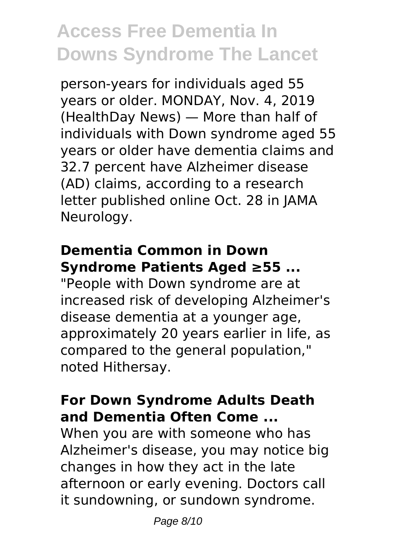person-years for individuals aged 55 years or older. MONDAY, Nov. 4, 2019 (HealthDay News) — More than half of individuals with Down syndrome aged 55 years or older have dementia claims and 32.7 percent have Alzheimer disease (AD) claims, according to a research letter published online Oct. 28 in JAMA Neurology.

### **Dementia Common in Down Syndrome Patients Aged ≥55 ...**

"People with Down syndrome are at increased risk of developing Alzheimer's disease dementia at a younger age, approximately 20 years earlier in life, as compared to the general population," noted Hithersay.

#### **For Down Syndrome Adults Death and Dementia Often Come ...**

When you are with someone who has Alzheimer's disease, you may notice big changes in how they act in the late afternoon or early evening. Doctors call it sundowning, or sundown syndrome.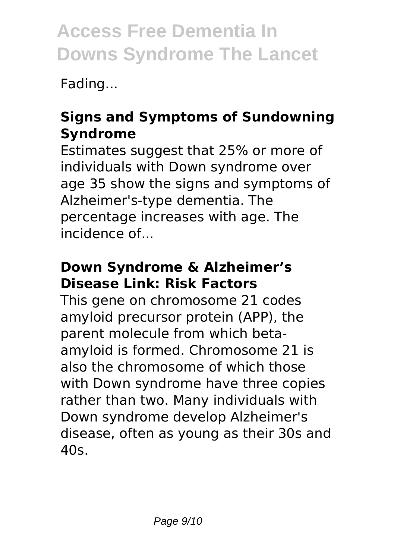Fading...

### **Signs and Symptoms of Sundowning Syndrome**

Estimates suggest that 25% or more of individuals with Down syndrome over age 35 show the signs and symptoms of Alzheimer's-type dementia. The percentage increases with age. The incidence of...

### **Down Syndrome & Alzheimer's Disease Link: Risk Factors**

This gene on chromosome 21 codes amyloid precursor protein (APP), the parent molecule from which betaamyloid is formed. Chromosome 21 is also the chromosome of which those with Down syndrome have three copies rather than two. Many individuals with Down syndrome develop Alzheimer's disease, often as young as their 30s and 40s.